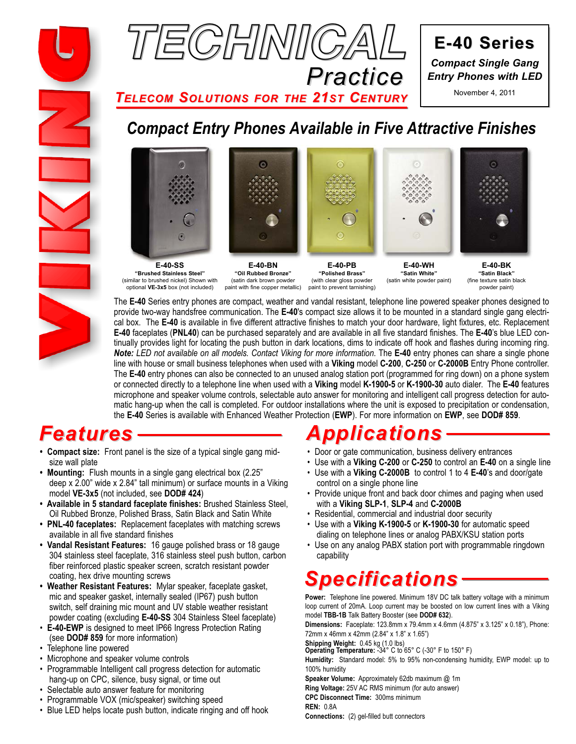



**E-40 Series E-40 Series** *Compact Single Gang Entry Phones with LED*

November 4, 2011

**Practice**<br>TELECOM SOLUTIONS FOR THE 21ST CENTURY *TELECOM SOLUTIONS FOR THE 21ST CENTURY*

# *Compact Entry Phones Available in Five Attractive Finishes*









**E-40-SS "Brushed Stainless Steel"** (similar to brushed nickel) Shown with optional **VE-3x5** box (not included)

**E-40-BN "Oil Rubbed Bronze"** (satin dark brown powder paint with fine copper metallic)

**E-40-PB "Polished Brass"** (with clear gloss powder paint to prevent tarnishing)

**E-40-WH "Satin White"** (satin white powder paint)

**E-40-BK "Satin Black"** (fine texture satin black powder paint)

The **E-40** Series entry phones are compact, weather and vandal resistant, telephone line powered speaker phones designed to provide two-way handsfree communication. The **E-40**'s compact size allows it to be mounted in a standard single gang electrical box. The **E-40** is available in five different attractive finishes to match your door hardware, light fixtures, etc. Replacement **E-40** faceplates (**PNL40**) can be purchased separately and are available in all five standard finishes. The **E-40**'s blue LED continually provides light for locating the push button in dark locations, dims to indicate off hook and flashes during incoming ring. **Note:** *LED* not available on all models. Contact Viking for more information. The **E-40** entry phones can share a single phone line with house or small business telephones when used with a **Viking** model **C-200**, **C-250** or **C-2000B** Entry Phone controller. The **E-40** entry phones can also be connected to an unused analog station port (programmed for ring down) on a phone system or connected directly to a telephone line when used with a **Viking** model **K-1900-5** or **K-1900-30** auto dialer. The **E-40** features microphone and speaker volume controls, selectable auto answer for monitoring and intelligent call progress detection for automatic hang-up when the call is completed. For outdoor installations where the unit is exposed to precipitation or condensation, the **E-40** Series is available with Enhanced Weather Protection (**EWP**). For more information on **EWP**, see **DOD# 859**.

# **Features**

- **Compact size:** Front panel is the size of a typical single gang midsize wall plate
- **Mounting:** Flush mounts in a single gang electrical box (2.25" deep x 2.00" wide x 2.84" tall minimum) or surface mounts in a Viking model **VE-3x5** (not included, see **DOD# 424**)
- **Available in 5 standard faceplate finishes:** Brushed Stainless Steel, Oil Rubbed Bronze, Polished Brass, Satin Black and Satin White
- **PNL-40 faceplates:** Replacement faceplates with matching screws available in all five standard finishes
- **Vandal Resistant Features:** 16 gauge polished brass or 18 gauge 304 stainless steel faceplate, 316 stainless steel push button, carbon fiber reinforced plastic speaker screen, scratch resistant powder coating, hex drive mounting screws
- **Weather Resistant Features:** Mylar speaker, faceplate gasket, mic and speaker gasket, internally sealed (IP67) push button switch, self draining mic mount and UV stable weather resistant powder coating (excluding **E-40-SS** 304 Stainless Steel faceplate)
- **E-40-EWP** is designed to meet IP66 Ingress Protection Rating (see **DOD# 859** for more information)
- Telephone line powered
- Microphone and speaker volume controls
- Programmable Intelligent call progress detection for automatic hang-up on CPC, silence, busy signal, or time out
- Selectable auto answer feature for monitoring
- Programmable VOX (mic/speaker) switching speed
- Blue LED helps locate push button, indicate ringing and off hook

- Door or gate communication, business delivery entrances
- Use with a **Viking C-200** or **C-250** to control an **E-40** on a single line
- Use with a **Viking C-2000B** to control 1 to 4 **E-40**'s and door/gate control on a single phone line
- Provide unique front and back door chimes and paging when used with a **Viking SLP-1**, **SLP-4** and **C-2000B**
- Residential, commercial and industrial door security
- Use with a **Viking K-1900-5** or **K-1900-30** for automatic speed dialing on telephone lines or analog PABX/KSU station ports
- Use on any analog PABX station port with programmable ringdown capability

**Power:** Telephone line powered. Minimum 18V DC talk battery voltage with a minimum<br>loop current of 20mA, Loop current may be boosted on low current lines with a Viking loop current of 20mA. Loop current may be boosted on low current lines with a Viking model **TBB-1B** Talk Battery Booster (see **DOD# 632**).

**Dimensions:** Faceplate: 123.8mm x 79.4mm x 4.6mm (4.875" x 3.125" x 0.18"), Phone: 72mm x 46mm x 42mm (2.84" x 1.8" x 1.65")

**Shipping Weight:** 0.45 kg (1.0 lbs) **Operating Temperature:** -34° C to 65° C (-30° F to 150° F)

**Humidity:** Standard model: 5% to 95% non-condensing humidity, EWP model: up to 100% humidity

**Speaker Volume:** Approximately 62db maximum @ 1m **Ring Voltage:** 25V AC RMS minimum (for auto answer) **CPC Disconnect Time:** 300ms minimum **REN:** 0.8A

**Connections:** (2) gel-filled butt connectors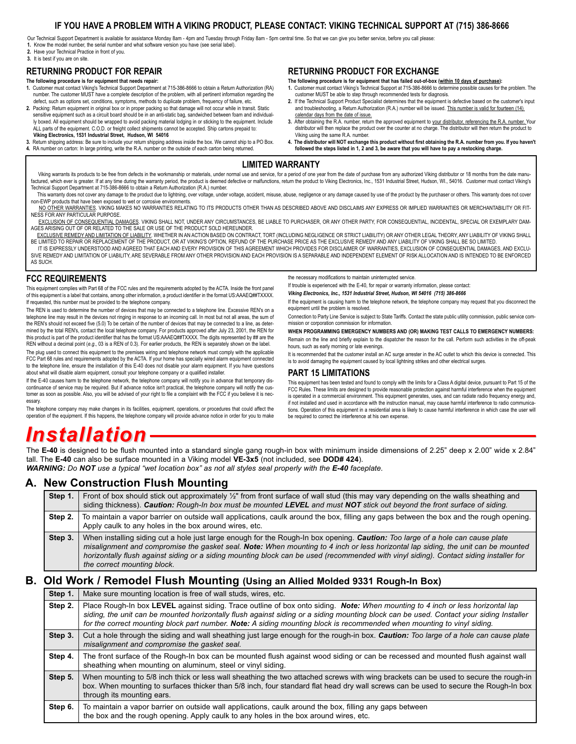#### **IF YOU HAVE A PROBLEM WITH A VIKING PRODUCT, PLEASE CONTACT: VIKING TECHNICAL SUPPORT AT (715) 386-8666**

Our Technical Support Department is available for assistance Monday 8am - 4pm and Tuesday through Friday 8am - 5pm central time. So that we can give you better service, before you call please: **1.** Know the model number, the serial number and what software version you have (see serial label).

- **2.** Have your Technical Practice in front of you.
- **3.** It is best if you are on site.

#### **RETURNING PRODUCT FOR REPAIR**

#### **The following procedure is for equipment that needs repair:**

- **1.** Customer must contact Viking's Technical Support Department at 715-386-8666 to obtain a Return Authorization (RA) number. The customer MUST have a complete description of the problem, with all pertinent information regarding the defect, such as options set, conditions, symptoms, methods to duplicate problem, frequency of failure, etc.
- **2.** Packing: Return equipment in original box or in proper packing so that damage will not occur while in transit. Static sensitive equipment such as a circuit board should be in an anti-static bag, sandwiched between foam and individually boxed. All equipment should be wrapped to avoid packing material lodging in or sticking to the equipment. Include ALL parts of the equipment. C.O.D. or freight collect shipments cannot be accepted. Ship cartons prepaid to: **Viking Electronics, 1531 Industrial Street, Hudson, WI 54016**
- **3.** Return shipping address: Be sure to include your return shipping address inside the box. We cannot ship to a PO Box.
- **4.** RA number on carton: In large printing, write the R.A. number on the outside of each carton being returned.

#### **RETURNING PRODUCT FOR EXCHANGE**

**The following procedure is for equipment that has failed out-of-box (within 10 days of purchase): 1.** Customer must contact Viking's Technical Support at 715-386-8666 to determine possible causes for the problem. The

- customer MUST be able to step through recommended tests for diagnosis. **2.** If the Technical Support Product Specialist determines that the equipment is defective based on the customer's input and troubleshooting, a Return Authorization (R.A.) number will be issued. This number is valid for fourteen (14) calendar days from the date of issue.
- **3.** After obtaining the R.A. number, return the approved equipment to your distributor, referencing the R.A. number. Your distributor will then replace the product over the counter at no charge. The distributor will then return the product to Viking using the same R.A. number.
- **4. The distributor will NOT exchange this product without first obtaining the R.A. number from you. If you haven't followed the steps listed in 1, 2 and 3, be aware that you will have to pay a restocking charge.**

#### **LIMITED WARRANTY**

Viking warrants its products to be free from defects in the workmanship or materials, under normal use and service, for a period of one year from the date of purchase from any authorized Viking distributor or 18 months fro factured, which ever is greater. If at any time during the warranty period, the product is deemed defective or malfunctions, return the product to Viking Electronics, Inc., 1531 Industrial Street, Hudson, WI., 54016. Custo Technical Support Department at 715-386-8666 to obtain a Return Authorization (R.A.) number.

This warranty does not cover any damage to the product due to lightning, over voltage, under voltage, accident, misuse, abuse, negligence or any damage caused by use of the product by the purchaser or others. This warranty non-EWP products that have been exposed to wet or corrosive environments.

NO OTHER WARRANTIES. VIKING MAKES NO WARRANTIES RELATING TO ITS PRODUCTS OTHER THAN AS DESCRIBED ABOVE AND DISCLAIMS ANY EXPRESS OR IMPLIED WARRANTIES OR MERCHANTABILITY OR FIT-NESS FOR ANY PARTICULAR PURPOSE.

EXCLUSION OF CONSEQUENTIAL DAMAGES. VIKING SHALL NOT, UNDER ANY CIRCUMSTANCES, BE LIABLE TO PURCHASER, OR ANY OTHER PARTY, FOR CONSEQUENTIAL, INCIDENTAL, SPECIAL OR EXEMPLARY DAM-AGES ARISING OUT OF OR RELATED TO THE SALE OR USE OF THE PRODUCT SOLD HEREUNDER.

EXCLUSIVE REMEDY AND LIMITATION OF LIABILITY. WHETHER IN AN ACTION BASED ON CONTRACT, TORT (INCLUDING NEGLIGENCE OR STRICT LIABILITY) OR ANY OTHER LEGAL THEORY, ANY LIABILITY OF VIKING SHALL BE LIMITED TO REPAIR OR REPLACEMENT OF THE PRODUCT, OR AT VIKING'S OPTION, REFUND OF THE PURCHASE PRICE AS THE EXCLUSIVE REMEDY AND ANY LIABILITY OF VIKING SHALL BE SO LIMITED.

IT IS EXPRESSLY UNDERSTOOD AND AGREED THAT EACH AND EVERY PROVISION OF THIS AGREEMENT WHICH PROVIDES FOR DISCLAIMER OF WARRANTIES, EXCLUSION OF CONSEQUENTIAL DAMAGES, AND EXCLU-SIVE REMEDY AND LIMITATION OF LIABILITY, ARE SEVERABLE FROM ANY OTHER PROVISION AND EACH PROVISION IS A SEPARABLE AND INDEPENDENT ELEMENT OF RISK ALLOCATION AND IS INTENDED TO BE ENFORCED AS SUCH.

#### **FCC REQUIREMENTS**

This equipment complies with Part 68 of the FCC rules and the requirements adopted by the ACTA. Inside the front panel of this equipment is a label that contains, among other information, a product identifier in the format US:AAAEQ##TXXXX. If requested, this number must be provided to the telephone company.

The REN is used to determine the number of devices that may be connected to a telephone line. Excessive REN's on a telephone line may result in the devices not ringing in response to an incoming call. In most but not all areas, the sum of the REN's should not exceed five (5.0) To be certain of the number of devices that may be connected to a line, as determined by the total REN's, contact the local telephone company. For products approved after July 23, 2001, the REN for this product is part of the product identifier that has the format US:AAAEQ##TXXXX. The digits represented by ## are the REN without a decimal point (*e.g*., 03 is a REN of 0.3). For earlier products, the REN is separately shown on the label.

The plug used to connect this equipment to the premises wiring and telephone network must comply with the applicable FCC Part 68 rules and requirements adopted by the ACTA. If your home has specially wired alarm equipment connected to the telephone line, ensure the installation of this E-40 does not disable your alarm equipment. If you have questions about what will disable alarm equipment, consult your telephone company or a qualified installer.

If the E-40 causes harm to the telephone network, the telephone company will notify you in advance that temporary discontinuance of service may be required. But if advance notice isn't practical, the telephone company will notify the customer as soon as possible. Also, you will be advised of your right to file a complaint with the FCC if you believe it is necessary.

The telephone company may make changes in its facilities, equipment, operations, or procedures that could affect the operation of the equipment. If this happens, the telephone company will provide advance notice in order for you to make the necessary modifications to maintain uninterrupted service.

If trouble is experienced with the E-40, for repair or warranty information, please contact:

*Viking Electronics, Inc., 1531 Industrial Street, Hudson, WI 54016 (715) 386-8666*

If the equipment is causing harm to the telephone network, the telephone company may request that you disconnect the equipment until the problem is resolved.

Connection to Party Line Service is subject to State Tariffs. Contact the state public utility commission, public service commission or corporation commission for information.

**WHEN PROGRAMMING EMERGENCY NUMBERS AND (OR) MAKING TEST CALLS TO EMERGENCY NUMBERS:**

Remain on the line and briefly explain to the dispatcher the reason for the call. Perform such activities in the off-peak hours, such as early morning or late evenings.

It is recommended that the customer install an AC surge arrester in the AC outlet to which this device is connected. This is to avoid damaging the equipment caused by local lightning strikes and other electrical surges.

#### **PART 15 LIMITATIONS**

This equipment has been tested and found to comply with the limits for a Class A digital device, pursuant to Part 15 of the FCC Rules. These limits are designed to provide reasonable protection against harmful interference when the equipment is operated in a commercial environment. This equipment generates, uses, and can radiate radio frequency energy and, if not installed and used in accordance with the instruction manual, may cause harmful interference to radio communications. Operation of this equipment in a residential area is likely to cause harmful interference in which case the user will be required to correct the interference at his own expense.

The **E-40** is designed to be flush mounted into a standard single gang rough-in box with minimum inside dimensions of 2.25" deep x 2.00" wide x 2.84"<br>tall. The **E-40** can also be surface mounted in a Viking model VE-3x5 (n tall. The **E-40** can also be surface mounted in a Viking model **VE-3x5** (not included, see **DOD# 424**).

*WARNING:* Do **NOT** use a typical "wet location box" as not all styles seal properly with the **E-40** faceplate.

### **A. New Construction Flush Mounting**

| Step 1. | Front of box should stick out approximately $\frac{1}{2}$ " from front surface of wall stud (this may vary depending on the walls sheathing and<br>siding thickness). Caution: Rough-In box must be mounted LEVEL and must NOT stick out beyond the front surface of siding.                                                                                                                                                                 |
|---------|----------------------------------------------------------------------------------------------------------------------------------------------------------------------------------------------------------------------------------------------------------------------------------------------------------------------------------------------------------------------------------------------------------------------------------------------|
| Step 2. | To maintain a vapor barrier on outside wall applications, caulk around the box, filling any gaps between the box and the rough opening.<br>Apply caulk to any holes in the box around wires, etc.                                                                                                                                                                                                                                            |
| Step 3. | When installing siding cut a hole just large enough for the Rough-In box opening. Caution: Too large of a hole can cause plate<br>misalignment and compromise the gasket seal. Note: When mounting to 4 inch or less horizontal lap siding, the unit can be mounted<br>horizontally flush against siding or a siding mounting block can be used (recommended with vinyl siding). Contact siding installer for<br>the correct mounting block. |

### **B. Old Work / Remodel Flush Mounting (Using an Allied Molded 9331 Rough-In Box)**

| Step 1. | Make sure mounting location is free of wall studs, wires, etc.                                                                                                                                                                                                                                                                                                                                        |
|---------|-------------------------------------------------------------------------------------------------------------------------------------------------------------------------------------------------------------------------------------------------------------------------------------------------------------------------------------------------------------------------------------------------------|
| Step 2. | Place Rough-In box LEVEL against siding. Trace outline of box onto siding. Note: When mounting to 4 inch or less horizontal lap<br>siding, the unit can be mounted horizontally flush against siding or a siding mounting block can be used. Contact your siding Installer<br>for the correct mounting block part number. Note: A siding mounting block is recommended when mounting to vinyl siding. |
| Step 3. | Cut a hole through the siding and wall sheathing just large enough for the rough-in box. Caution: Too large of a hole can cause plate<br>misalignment and compromise the gasket seal.                                                                                                                                                                                                                 |
| Step 4. | The front surface of the Rough-In box can be mounted flush against wood siding or can be recessed and mounted flush against wall<br>sheathing when mounting on aluminum, steel or vinyl siding.                                                                                                                                                                                                       |
| Step 5. | When mounting to 5/8 inch thick or less wall sheathing the two attached screws with wing brackets can be used to secure the rough-in<br>box. When mounting to surfaces thicker than 5/8 inch, four standard flat head dry wall screws can be used to secure the Rough-In box<br>through its mounting ears.                                                                                            |
| Step 6. | To maintain a vapor barrier on outside wall applications, caulk around the box, filling any gaps between<br>the box and the rough opening. Apply caulk to any holes in the box around wires, etc.                                                                                                                                                                                                     |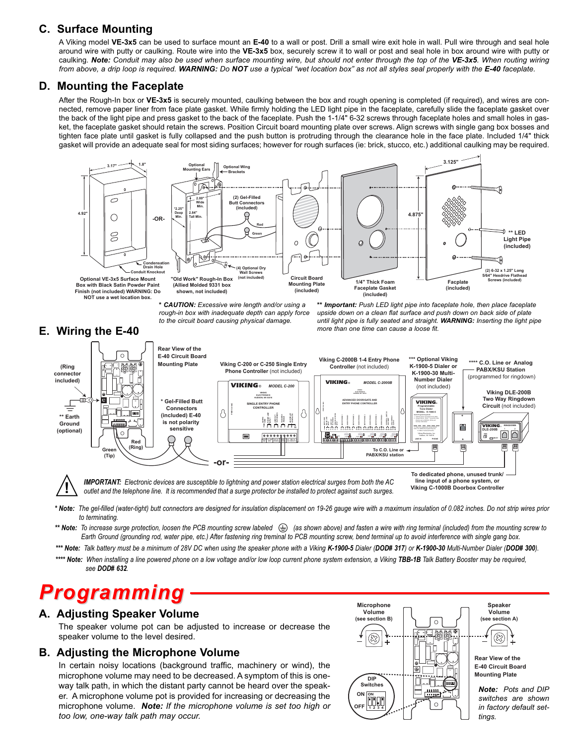# **C. Surface Mounting**

A Viking model **VE-3x5** can be used to surface mount an **E-40** to a wall or post. Drill a small wire exit hole in wall. Pull wire through and seal hole around wire with putty or caulking. Route wire into the **VE-3x5** box, securely screw it to wall or post and seal hole in box around wire with putty or caulking. *Note: Conduit may also be used when surface mounting wire, but should not enter through the top of the VE-3x5. When routing wiring from above, a drip loop is required. WARNING: Do NOT use a typical "wet location box" as not all styles seal properly with the E-40 faceplate.*

## **D. Mounting the Faceplate**

After the Rough-In box or **VE-3x5** is securely mounted, caulking between the box and rough opening is completed (if required), and wires are connected, remove paper liner from face plate gasket. While firmly holding the LED light pipe in the faceplate, carefully slide the faceplate gasket over the back of the light pipe and press gasket to the back of the faceplate. Push the 1-1/4" 6-32 screws through faceplate holes and small holes in gasket, the faceplate gasket should retain the screws. Position Circuit board mounting plate over screws. Align screws with single gang box bosses and tighten face plate until gasket is fully collapsed and the push button is protruding through the clearance hole in the face plate. Included 1/4" thick gasket will provide an adequate seal for most siding surfaces; however for rough surfaces (ie: brick, stucco, etc.) additional caulking may be required.



*\* CAUTION: Excessive wire length and/or using a rough-in box with inadequate depth can apply force to the circuit board causing physical damage.*

*\*\* Important: Push LED light pipe into faceplate hole, then place faceplate upside down on a clean flat surface and push down on back side of plate until light pipe is fully seated and straight. WARNING: Inserting the light pipe more than one time can cause a loose fit.*





**IMPORTANT:** Electronic devices are susceptible to lightning and power station electrical surges from both the AC outlet and the telephone line. It is recommended that a surge protector be installed to protect against such

**Viking C-1000B Doorbox Controller**

*\* Note: The gel-filled (water-tight) butt connectors are designed for insulation displacement on 19-26 gauge wire with a maximum insulation of 0.082 inches. Do not strip wires prior to terminating.*

- \*\* Note: To increase surge protection, loosen the PCB mounting screw labeled  $\bigoplus$  (as shown above) and fasten a wire with ring terminal (included) from the mounting screw to *Earth Ground (grounding rod, water pipe, etc.) After fastening ring treminal to PCB mounting screw, bend terminal up to avoid interference with single gang box.*
- \*\*\* Note: Talk battery must be a minimum of 28V DC when using the speaker phone with a Viking K-1900-5 Dialer (DOD# 317) or K-1900-30 Multi-Number Dialer (DOD# 300).
- \*\*\*\* Note: When installing a line powered phone on a low voltage and/or low loop current phone system extension, a Viking TBB-1B Talk Battery Booster may be required, *see DOD# 632.*

# *Programming* **A. Adjusting Speaker Volume**

The speaker volume pot can be adjusted to increase or decrease the speaker volume to the level desired.

### **B. Adjusting the Microphone Volume**

In certain noisy locations (background traffic, machinery or wind), the microphone volume may need to be decreased. A symptom of this is oneway talk path, in which the distant party cannot be heard over the speaker. A microphone volume pot is provided for increasing or decreasing the microphone volume. *Note: If the microphone volume is set too high or too low, one-way talk path may occur.*